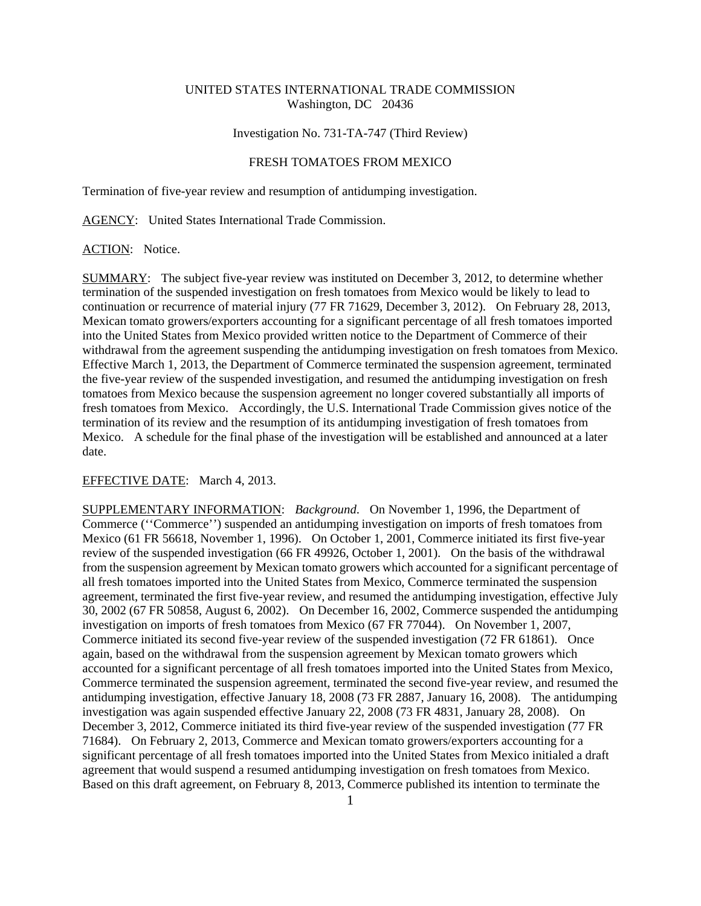# UNITED STATES INTERNATIONAL TRADE COMMISSION Washington, DC 20436

# Investigation No. 731-TA-747 (Third Review)

# FRESH TOMATOES FROM MEXICO

Termination of five-year review and resumption of antidumping investigation.

AGENCY: United States International Trade Commission.

### ACTION: Notice.

SUMMARY: The subject five-year review was instituted on December 3, 2012, to determine whether termination of the suspended investigation on fresh tomatoes from Mexico would be likely to lead to continuation or recurrence of material injury (77 FR 71629, December 3, 2012). On February 28, 2013, Mexican tomato growers/exporters accounting for a significant percentage of all fresh tomatoes imported into the United States from Mexico provided written notice to the Department of Commerce of their withdrawal from the agreement suspending the antidumping investigation on fresh tomatoes from Mexico. Effective March 1, 2013, the Department of Commerce terminated the suspension agreement, terminated the five-year review of the suspended investigation, and resumed the antidumping investigation on fresh tomatoes from Mexico because the suspension agreement no longer covered substantially all imports of fresh tomatoes from Mexico. Accordingly, the U.S. International Trade Commission gives notice of the termination of its review and the resumption of its antidumping investigation of fresh tomatoes from Mexico. A schedule for the final phase of the investigation will be established and announced at a later date.

#### EFFECTIVE DATE: March 4, 2013.

SUPPLEMENTARY INFORMATION: *Background*. On November 1, 1996, the Department of Commerce (''Commerce'') suspended an antidumping investigation on imports of fresh tomatoes from Mexico (61 FR 56618, November 1, 1996). On October 1, 2001, Commerce initiated its first five-year review of the suspended investigation (66 FR 49926, October 1, 2001). On the basis of the withdrawal from the suspension agreement by Mexican tomato growers which accounted for a significant percentage of all fresh tomatoes imported into the United States from Mexico, Commerce terminated the suspension agreement, terminated the first five-year review, and resumed the antidumping investigation, effective July 30, 2002 (67 FR 50858, August 6, 2002). On December 16, 2002, Commerce suspended the antidumping investigation on imports of fresh tomatoes from Mexico (67 FR 77044). On November 1, 2007, Commerce initiated its second five-year review of the suspended investigation (72 FR 61861). Once again, based on the withdrawal from the suspension agreement by Mexican tomato growers which accounted for a significant percentage of all fresh tomatoes imported into the United States from Mexico, Commerce terminated the suspension agreement, terminated the second five-year review, and resumed the antidumping investigation, effective January 18, 2008 (73 FR 2887, January 16, 2008). The antidumping investigation was again suspended effective January 22, 2008 (73 FR 4831, January 28, 2008). On December 3, 2012, Commerce initiated its third five-year review of the suspended investigation (77 FR 71684). On February 2, 2013, Commerce and Mexican tomato growers/exporters accounting for a significant percentage of all fresh tomatoes imported into the United States from Mexico initialed a draft agreement that would suspend a resumed antidumping investigation on fresh tomatoes from Mexico. Based on this draft agreement, on February 8, 2013, Commerce published its intention to terminate the